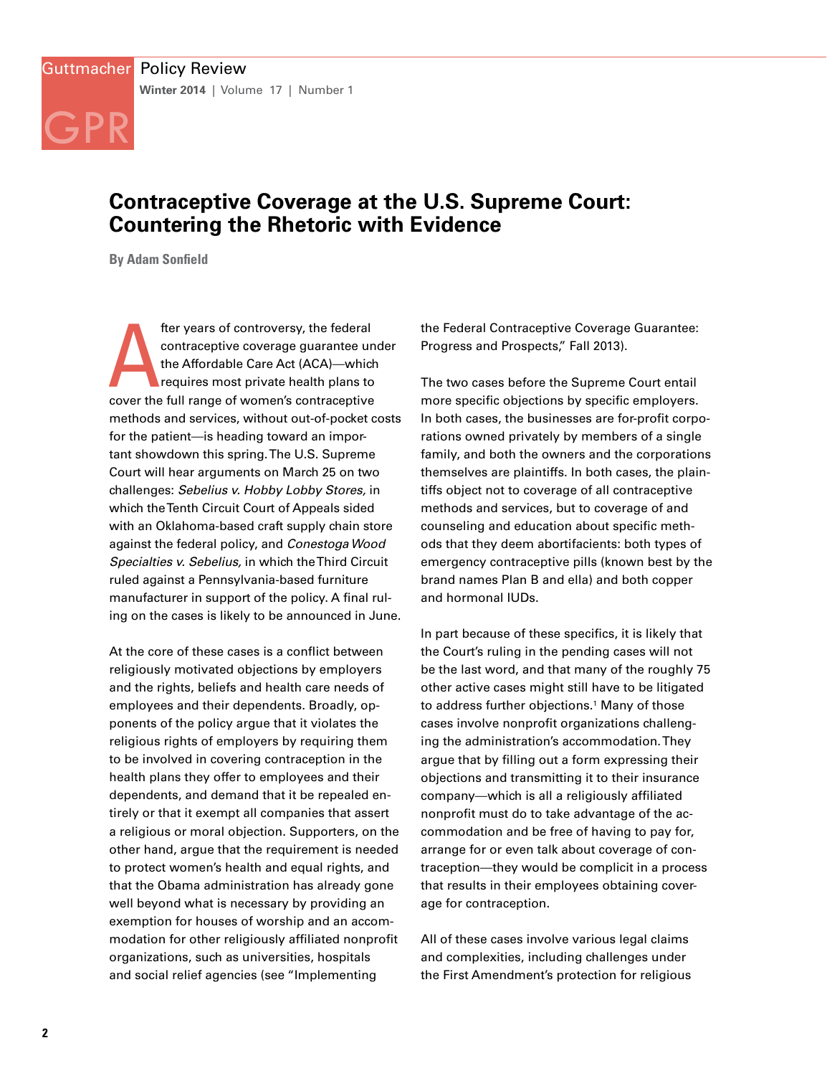# **Contraceptive Coverage at the U.S. Supreme Court: Countering the Rhetoric with Evidence**

**By Adam Sonfield**

GPR

fter years of controversy, the federal<br>contraceptive coverage guarantee un<br>the Affordable Care Act (ACA)—which<br>requires most private health plans to<br>cover the full range of women's contraceptive fter years of controversy, the federal contraceptive coverage guarantee under the Affordable Care Act (ACA)—which requires most private health plans to methods and services, without out-of-pocket costs for the patient—is heading toward an important showdown this spring. The U.S. Supreme Court will hear arguments on March 25 on two challenges: *Sebelius v. Hobby Lobby Stores,* in which the Tenth Circuit Court of Appeals sided with an Oklahoma-based craft supply chain store against the federal policy, and *Conestoga Wood Specialties v. Sebelius,* in which the Third Circuit ruled against a Pennsylvania-based furniture manufacturer in support of the policy. A final ruling on the cases is likely to be announced in June.

At the core of these cases is a conflict between religiously motivated objections by employers and the rights, beliefs and health care needs of employees and their dependents. Broadly, opponents of the policy argue that it violates the religious rights of employers by requiring them to be involved in covering contraception in the health plans they offer to employees and their dependents, and demand that it be repealed entirely or that it exempt all companies that assert a religious or moral objection. Supporters, on the other hand, argue that the requirement is needed to protect women's health and equal rights, and that the Obama administration has already gone well beyond what is necessary by providing an exemption for houses of worship and an accommodation for other religiously affiliated nonprofit organizations, such as universities, hospitals and social relief agencies (see "Implementing

the Federal Contraceptive Coverage Guarantee: Progress and Prospects," Fall 2013).

The two cases before the Supreme Court entail more specific objections by specific employers. In both cases, the businesses are for-profit corporations owned privately by members of a single family, and both the owners and the corporations themselves are plaintiffs. In both cases, the plaintiffs object not to coverage of all contraceptive methods and services, but to coverage of and counseling and education about specific methods that they deem abortifacients: both types of emergency contraceptive pills (known best by the brand names Plan B and ella) and both copper and hormonal IUDs.

In part because of these specifics, it is likely that the Court's ruling in the pending cases will not be the last word, and that many of the roughly 75 other active cases might still have to be litigated to address further objections.<sup>1</sup> Many of those cases involve nonprofit organizations challenging the administration's accommodation. They argue that by filling out a form expressing their objections and transmitting it to their insurance company—which is all a religiously affiliated nonprofit must do to take advantage of the accommodation and be free of having to pay for, arrange for or even talk about coverage of contraception—they would be complicit in a process that results in their employees obtaining coverage for contraception.

All of these cases involve various legal claims and complexities, including challenges under the First Amendment's protection for religious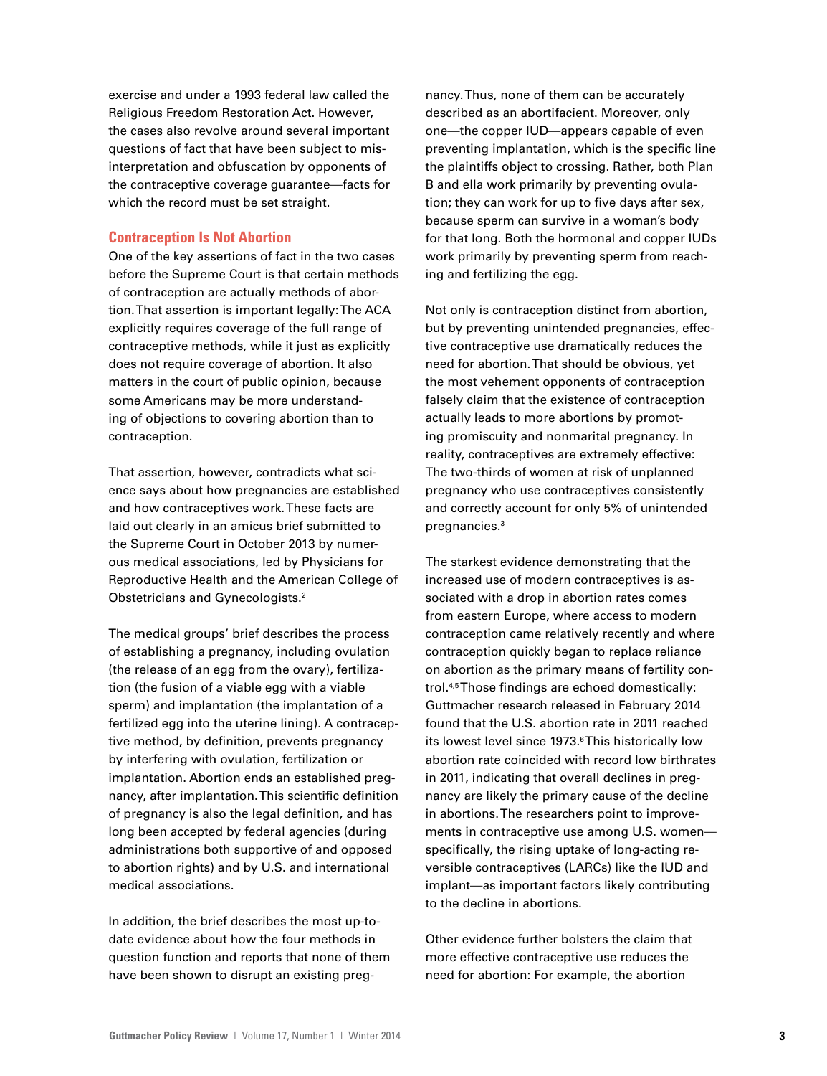exercise and under a 1993 federal law called the Religious Freedom Restoration Act. However, the cases also revolve around several important questions of fact that have been subject to misinterpretation and obfuscation by opponents of the contraceptive coverage guarantee—facts for which the record must be set straight.

### **Contraception Is Not Abortion**

One of the key assertions of fact in the two cases before the Supreme Court is that certain methods of contraception are actually methods of abortion. That assertion is important legally: The ACA explicitly requires coverage of the full range of contraceptive methods, while it just as explicitly does not require coverage of abortion. It also matters in the court of public opinion, because some Americans may be more understanding of objections to covering abortion than to contraception.

That assertion, however, contradicts what science says about how pregnancies are established and how contraceptives work. These facts are laid out clearly in an amicus brief submitted to the Supreme Court in October 2013 by numerous medical associations, led by Physicians for Reproductive Health and the American College of Obstetricians and Gynecologists.2

The medical groups' brief describes the process of establishing a pregnancy, including ovulation (the release of an egg from the ovary), fertilization (the fusion of a viable egg with a viable sperm) and implantation (the implantation of a fertilized egg into the uterine lining). A contraceptive method, by definition, prevents pregnancy by interfering with ovulation, fertilization or implantation. Abortion ends an established pregnancy, after implantation. This scientific definition of pregnancy is also the legal definition, and has long been accepted by federal agencies (during administrations both supportive of and opposed to abortion rights) and by U.S. and international medical associations.

In addition, the brief describes the most up-todate evidence about how the four methods in question function and reports that none of them have been shown to disrupt an existing preg-

nancy. Thus, none of them can be accurately described as an abortifacient. Moreover, only one—the copper IUD—appears capable of even preventing implantation, which is the specific line the plaintiffs object to crossing. Rather, both Plan B and ella work primarily by preventing ovulation; they can work for up to five days after sex, because sperm can survive in a woman's body for that long. Both the hormonal and copper IUDs work primarily by preventing sperm from reaching and fertilizing the egg.

Not only is contraception distinct from abortion, but by preventing unintended pregnancies, effective contraceptive use dramatically reduces the need for abortion. That should be obvious, yet the most vehement opponents of contraception falsely claim that the existence of contraception actually leads to more abortions by promoting promiscuity and nonmarital pregnancy. In reality, contraceptives are extremely effective: The two-thirds of women at risk of unplanned pregnancy who use contraceptives consistently and correctly account for only 5% of unintended pregnancies.3

The starkest evidence demonstrating that the increased use of modern contraceptives is associated with a drop in abortion rates comes from eastern Europe, where access to modern contraception came relatively recently and where contraception quickly began to replace reliance on abortion as the primary means of fertility control.4,5 Those findings are echoed domestically: Guttmacher research released in February 2014 found that the U.S. abortion rate in 2011 reached its lowest level since 1973.<sup>6</sup> This historically low abortion rate coincided with record low birthrates in 2011, indicating that overall declines in pregnancy are likely the primary cause of the decline in abortions. The researchers point to improvements in contraceptive use among U.S. women specifically, the rising uptake of long-acting reversible contraceptives (LARCs) like the IUD and implant—as important factors likely contributing to the decline in abortions.

Other evidence further bolsters the claim that more effective contraceptive use reduces the need for abortion: For example, the abortion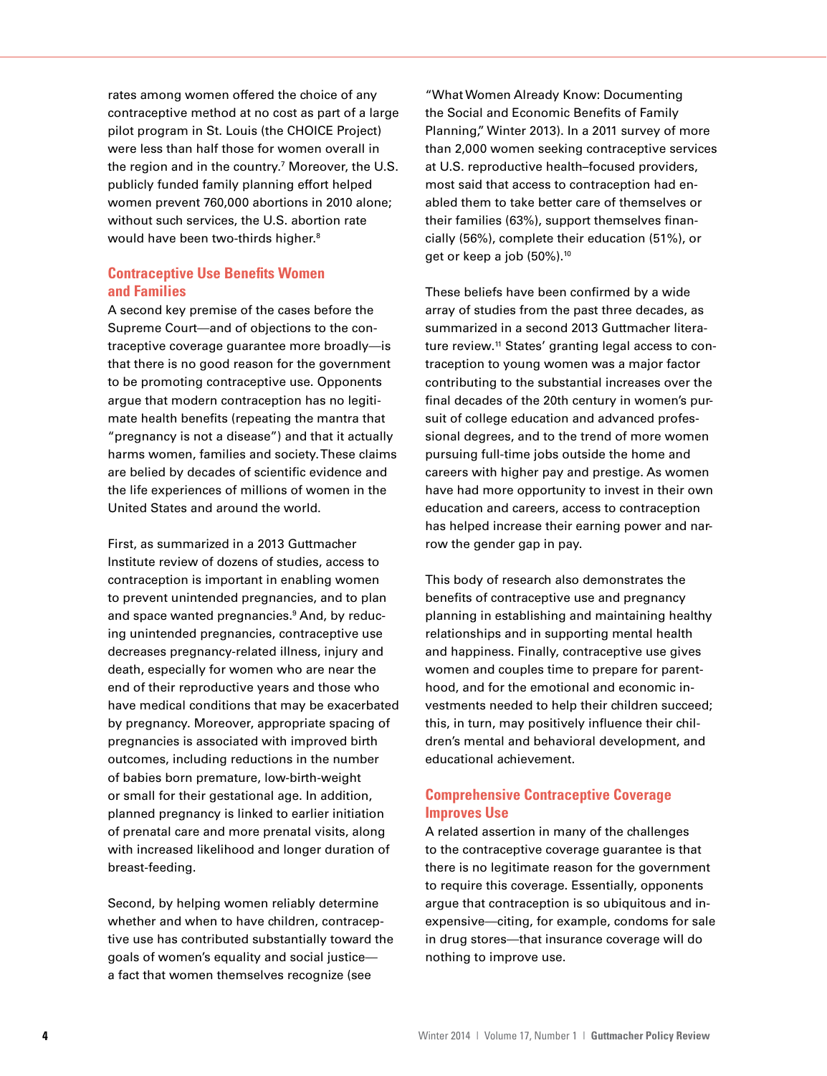rates among women offered the choice of any contraceptive method at no cost as part of a large pilot program in St. Louis (the CHOICE Project) were less than half those for women overall in the region and in the country.7 Moreover, the U.S. publicly funded family planning effort helped women prevent 760,000 abortions in 2010 alone; without such services, the U.S. abortion rate would have been two-thirds higher.<sup>8</sup>

# **Contraceptive Use Benefits Women and Families**

A second key premise of the cases before the Supreme Court—and of objections to the contraceptive coverage guarantee more broadly—is that there is no good reason for the government to be promoting contraceptive use. Opponents argue that modern contraception has no legitimate health benefits (repeating the mantra that "pregnancy is not a disease") and that it actually harms women, families and society. These claims are belied by decades of scientific evidence and the life experiences of millions of women in the United States and around the world.

First, as summarized in a 2013 Guttmacher Institute review of dozens of studies, access to contraception is important in enabling women to prevent unintended pregnancies, and to plan and space wanted pregnancies.<sup>9</sup> And, by reducing unintended pregnancies, contraceptive use decreases pregnancy-related illness, injury and death, especially for women who are near the end of their reproductive years and those who have medical conditions that may be exacerbated by pregnancy. Moreover, appropriate spacing of pregnancies is associated with improved birth outcomes, including reductions in the number of babies born premature, low-birth-weight or small for their gestational age. In addition, planned pregnancy is linked to earlier initiation of prenatal care and more prenatal visits, along with increased likelihood and longer duration of breast-feeding.

Second, by helping women reliably determine whether and when to have children, contraceptive use has contributed substantially toward the goals of women's equality and social justice a fact that women themselves recognize (see

"What Women Already Know: Documenting the Social and Economic Benefits of Family Planning," Winter 2013). In a 2011 survey of more than 2,000 women seeking contraceptive services at U.S. reproductive health–focused providers, most said that access to contraception had enabled them to take better care of themselves or their families (63%), support themselves financially (56%), complete their education (51%), or get or keep a job (50%).<sup>10</sup>

These beliefs have been confirmed by a wide array of studies from the past three decades, as summarized in a second 2013 Guttmacher literature review.<sup>11</sup> States' granting legal access to contraception to young women was a major factor contributing to the substantial increases over the final decades of the 20th century in women's pursuit of college education and advanced professional degrees, and to the trend of more women pursuing full-time jobs outside the home and careers with higher pay and prestige. As women have had more opportunity to invest in their own education and careers, access to contraception has helped increase their earning power and narrow the gender gap in pay.

This body of research also demonstrates the benefits of contraceptive use and pregnancy planning in establishing and maintaining healthy relationships and in supporting mental health and happiness. Finally, contraceptive use gives women and couples time to prepare for parenthood, and for the emotional and economic investments needed to help their children succeed; this, in turn, may positively influence their children's mental and behavioral development, and educational achievement.

# **Comprehensive Contraceptive Coverage Improves Use**

A related assertion in many of the challenges to the contraceptive coverage guarantee is that there is no legitimate reason for the government to require this coverage. Essentially, opponents argue that contraception is so ubiquitous and inexpensive—citing, for example, condoms for sale in drug stores—that insurance coverage will do nothing to improve use.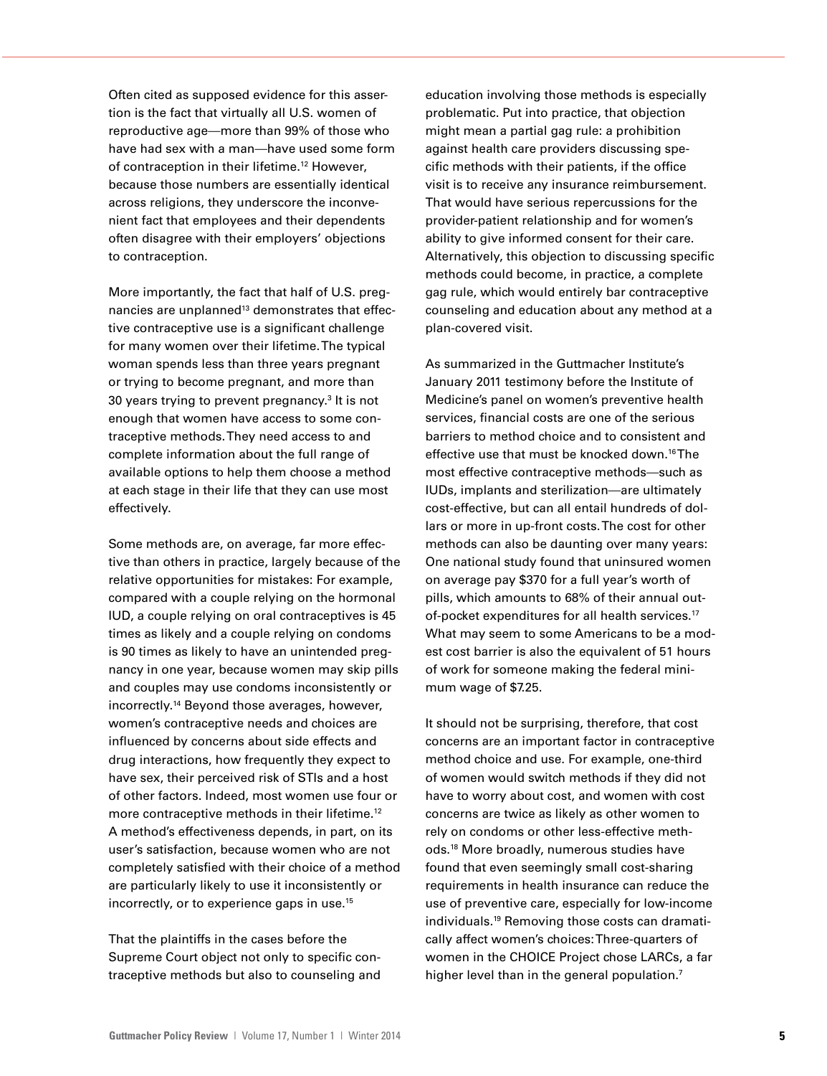Often cited as supposed evidence for this assertion is the fact that virtually all U.S. women of reproductive age—more than 99% of those who have had sex with a man—have used some form of contraception in their lifetime.12 However, because those numbers are essentially identical across religions, they underscore the inconvenient fact that employees and their dependents often disagree with their employers' objections to contraception.

More importantly, the fact that half of U.S. pregnancies are unplanned<sup>13</sup> demonstrates that effective contraceptive use is a significant challenge for many women over their lifetime. The typical woman spends less than three years pregnant or trying to become pregnant, and more than 30 years trying to prevent pregnancy.<sup>3</sup> It is not enough that women have access to some contraceptive methods. They need access to and complete information about the full range of available options to help them choose a method at each stage in their life that they can use most effectively.

Some methods are, on average, far more effective than others in practice, largely because of the relative opportunities for mistakes: For example, compared with a couple relying on the hormonal IUD, a couple relying on oral contraceptives is 45 times as likely and a couple relying on condoms is 90 times as likely to have an unintended pregnancy in one year, because women may skip pills and couples may use condoms inconsistently or incorrectly.14 Beyond those averages, however, women's contraceptive needs and choices are influenced by concerns about side effects and drug interactions, how frequently they expect to have sex, their perceived risk of STIs and a host of other factors. Indeed, most women use four or more contraceptive methods in their lifetime.<sup>12</sup> A method's effectiveness depends, in part, on its user's satisfaction, because women who are not completely satisfied with their choice of a method are particularly likely to use it inconsistently or incorrectly, or to experience gaps in use.15

That the plaintiffs in the cases before the Supreme Court object not only to specific contraceptive methods but also to counseling and

education involving those methods is especially problematic. Put into practice, that objection might mean a partial gag rule: a prohibition against health care providers discussing specific methods with their patients, if the office visit is to receive any insurance reimbursement. That would have serious repercussions for the provider-patient relationship and for women's ability to give informed consent for their care. Alternatively, this objection to discussing specific methods could become, in practice, a complete gag rule, which would entirely bar contraceptive counseling and education about any method at a plan-covered visit.

As summarized in the Guttmacher Institute's January 2011 testimony before the Institute of Medicine's panel on women's preventive health services, financial costs are one of the serious barriers to method choice and to consistent and effective use that must be knocked down.16 The most effective contraceptive methods—such as IUDs, implants and sterilization—are ultimately cost-effective, but can all entail hundreds of dollars or more in up-front costs. The cost for other methods can also be daunting over many years: One national study found that uninsured women on average pay \$370 for a full year's worth of pills, which amounts to 68% of their annual outof-pocket expenditures for all health services.17 What may seem to some Americans to be a modest cost barrier is also the equivalent of 51 hours of work for someone making the federal minimum wage of \$7.25.

It should not be surprising, therefore, that cost concerns are an important factor in contraceptive method choice and use. For example, one-third of women would switch methods if they did not have to worry about cost, and women with cost concerns are twice as likely as other women to rely on condoms or other less-effective methods.18 More broadly, numerous studies have found that even seemingly small cost-sharing requirements in health insurance can reduce the use of preventive care, especially for low-income individuals.19 Removing those costs can dramatically affect women's choices: Three-quarters of women in the CHOICE Project chose LARCs, a far higher level than in the general population.<sup>7</sup>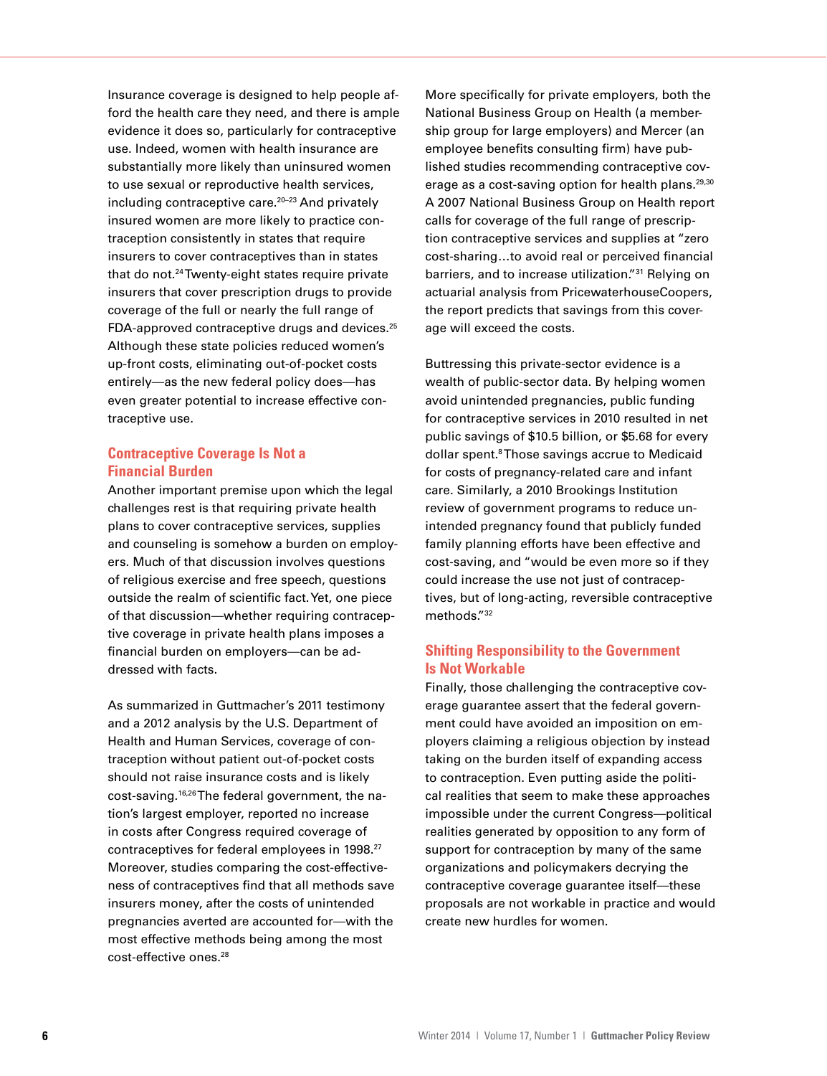Insurance coverage is designed to help people afford the health care they need, and there is ample evidence it does so, particularly for contraceptive use. Indeed, women with health insurance are substantially more likely than uninsured women to use sexual or reproductive health services, including contraceptive care.<sup>20-23</sup> And privately insured women are more likely to practice contraception consistently in states that require insurers to cover contraceptives than in states that do not.<sup>24</sup> Twenty-eight states require private insurers that cover prescription drugs to provide coverage of the full or nearly the full range of FDA-approved contraceptive drugs and devices.<sup>25</sup> Although these state policies reduced women's up-front costs, eliminating out-of-pocket costs entirely—as the new federal policy does—has even greater potential to increase effective contraceptive use.

# **Contraceptive Coverage Is Not a Financial Burden**

Another important premise upon which the legal challenges rest is that requiring private health plans to cover contraceptive services, supplies and counseling is somehow a burden on employers. Much of that discussion involves questions of religious exercise and free speech, questions outside the realm of scientific fact. Yet, one piece of that discussion—whether requiring contraceptive coverage in private health plans imposes a financial burden on employers—can be addressed with facts.

As summarized in Guttmacher's 2011 testimony and a 2012 analysis by the U.S. Department of Health and Human Services, coverage of contraception without patient out-of-pocket costs should not raise insurance costs and is likely cost-saving.16,26 The federal government, the nation's largest employer, reported no increase in costs after Congress required coverage of contraceptives for federal employees in 1998.27 Moreover, studies comparing the cost-effectiveness of contraceptives find that all methods save insurers money, after the costs of unintended pregnancies averted are accounted for—with the most effective methods being among the most cost-effective ones.<sup>28</sup>

More specifically for private employers, both the National Business Group on Health (a membership group for large employers) and Mercer (an employee benefits consulting firm) have published studies recommending contraceptive coverage as a cost-saving option for health plans.<sup>29,30</sup> A 2007 National Business Group on Health report calls for coverage of the full range of prescription contraceptive services and supplies at "zero cost-sharing…to avoid real or perceived financial barriers, and to increase utilization."31 Relying on actuarial analysis from PricewaterhouseCoopers, the report predicts that savings from this coverage will exceed the costs.

Buttressing this private-sector evidence is a wealth of public-sector data. By helping women avoid unintended pregnancies, public funding for contraceptive services in 2010 resulted in net public savings of \$10.5 billion, or \$5.68 for every dollar spent.<sup>8</sup> Those savings accrue to Medicaid for costs of pregnancy-related care and infant care. Similarly, a 2010 Brookings Institution review of government programs to reduce unintended pregnancy found that publicly funded family planning efforts have been effective and cost-saving, and "would be even more so if they could increase the use not just of contraceptives, but of long-acting, reversible contraceptive methods."32

# **Shifting Responsibility to the Government Is Not Workable**

Finally, those challenging the contraceptive coverage guarantee assert that the federal government could have avoided an imposition on employers claiming a religious objection by instead taking on the burden itself of expanding access to contraception. Even putting aside the political realities that seem to make these approaches impossible under the current Congress—political realities generated by opposition to any form of support for contraception by many of the same organizations and policymakers decrying the contraceptive coverage guarantee itself—these proposals are not workable in practice and would create new hurdles for women.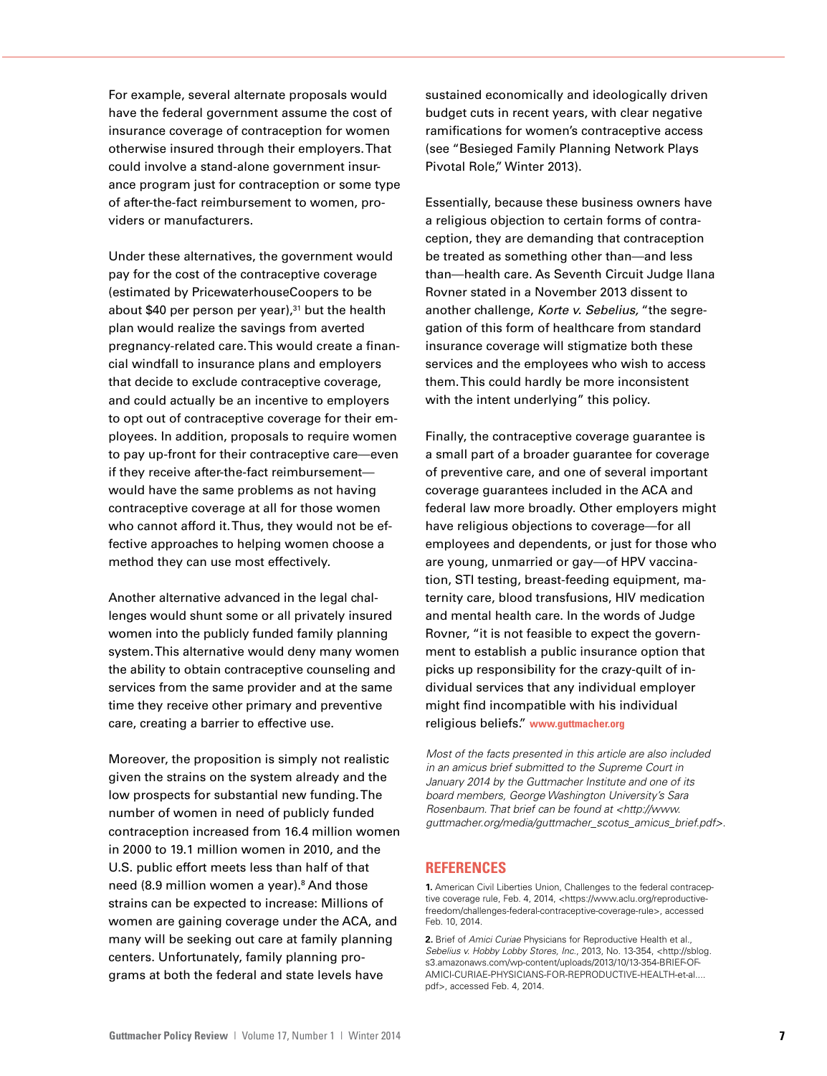For example, several alternate proposals would have the federal government assume the cost of insurance coverage of contraception for women otherwise insured through their employers. That could involve a stand-alone government insurance program just for contraception or some type of after-the-fact reimbursement to women, providers or manufacturers.

Under these alternatives, the government would pay for the cost of the contraceptive coverage (estimated by PricewaterhouseCoopers to be about \$40 per person per year),<sup>31</sup> but the health plan would realize the savings from averted pregnancy-related care. This would create a financial windfall to insurance plans and employers that decide to exclude contraceptive coverage, and could actually be an incentive to employers to opt out of contraceptive coverage for their employees. In addition, proposals to require women to pay up-front for their contraceptive care—even if they receive after-the-fact reimbursement would have the same problems as not having contraceptive coverage at all for those women who cannot afford it. Thus, they would not be effective approaches to helping women choose a method they can use most effectively.

Another alternative advanced in the legal challenges would shunt some or all privately insured women into the publicly funded family planning system. This alternative would deny many women the ability to obtain contraceptive counseling and services from the same provider and at the same time they receive other primary and preventive care, creating a barrier to effective use.

Moreover, the proposition is simply not realistic given the strains on the system already and the low prospects for substantial new funding. The number of women in need of publicly funded contraception increased from 16.4 million women in 2000 to 19.1 million women in 2010, and the U.S. public effort meets less than half of that need (8.9 million women a year).<sup>8</sup> And those strains can be expected to increase: Millions of women are gaining coverage under the ACA, and many will be seeking out care at family planning centers. Unfortunately, family planning programs at both the federal and state levels have

sustained economically and ideologically driven budget cuts in recent years, with clear negative ramifications for women's contraceptive access (see "Besieged Family Planning Network Plays Pivotal Role," Winter 2013).

Essentially, because these business owners have a religious objection to certain forms of contraception, they are demanding that contraception be treated as something other than—and less than—health care. As Seventh Circuit Judge Ilana Rovner stated in a November 2013 dissent to another challenge, *Korte v. Sebelius,* "the segregation of this form of healthcare from standard insurance coverage will stigmatize both these services and the employees who wish to access them. This could hardly be more inconsistent with the intent underlying" this policy.

Finally, the contraceptive coverage guarantee is a small part of a broader guarantee for coverage of preventive care, and one of several important coverage guarantees included in the ACA and federal law more broadly. Other employers might have religious objections to coverage—for all employees and dependents, or just for those who are young, unmarried or gay—of HPV vaccination, STI testing, breast-feeding equipment, maternity care, blood transfusions, HIV medication and mental health care. In the words of Judge Rovner, "it is not feasible to expect the government to establish a public insurance option that picks up responsibility for the crazy-quilt of individual services that any individual employer might find incompatible with his individual religious beliefs." **www.guttmacher.org**

*Most of the facts presented in this article are also included in an amicus brief submitted to the Supreme Court in January 2014 by the Guttmacher Institute and one of its board members, George Washington University's Sara Rosenbaum. That brief can be found at <http://www. guttmacher.org/media/guttmacher\_scotus\_amicus\_brief.pdf>.*

#### **REFERENCES**

**1.** American Civil Liberties Union, Challenges to the federal contraceptive coverage rule, Feb. 4, 2014, <https://www.aclu.org/reproductivefreedom/challenges-federal-contraceptive-coverage-rule>, accessed Feb. 10, 2014.

**2.** Brief of *Amici Curiae* Physicians for Reproductive Health et al., *Sebelius v. Hobby Lobby Stores, Inc*., 2013, No. 13-354, <http://sblog. s3.amazonaws.com/wp-content/uploads/2013/10/13-354-BRIEF-OF-AMICI-CURIAE-PHYSICIANS-FOR-REPRODUCTIVE-HEALTH-et-al.... pdf>, accessed Feb. 4, 2014.